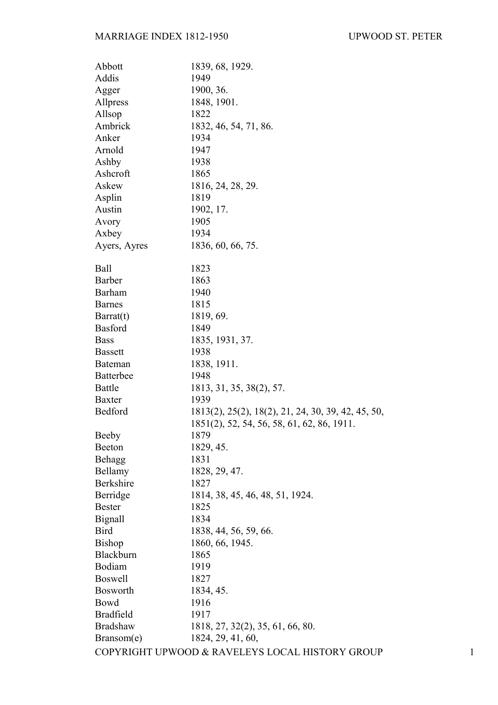| Abbott           | 1839, 68, 1929.                                    |  |
|------------------|----------------------------------------------------|--|
| Addis            | 1949                                               |  |
| Agger            | 1900, 36.                                          |  |
| Allpress         | 1848, 1901.                                        |  |
| Allsop           | 1822                                               |  |
| Ambrick          | 1832, 46, 54, 71, 86.                              |  |
| Anker            | 1934                                               |  |
| Arnold           | 1947                                               |  |
| Ashby            | 1938                                               |  |
| Ashcroft         | 1865                                               |  |
| Askew            | 1816, 24, 28, 29.                                  |  |
| Asplin           | 1819                                               |  |
| Austin           | 1902, 17.                                          |  |
| Avory            | 1905                                               |  |
| Axbey            | 1934                                               |  |
| Ayers, Ayres     | 1836, 60, 66, 75.                                  |  |
| <b>Ball</b>      | 1823                                               |  |
| <b>Barber</b>    | 1863                                               |  |
| <b>Barham</b>    | 1940                                               |  |
| <b>Barnes</b>    | 1815                                               |  |
| Barrat(t)        | 1819, 69.                                          |  |
| <b>Basford</b>   | 1849                                               |  |
| <b>Bass</b>      | 1835, 1931, 37.                                    |  |
| <b>Bassett</b>   | 1938                                               |  |
| <b>Bateman</b>   | 1838, 1911.                                        |  |
| <b>Batterbee</b> | 1948                                               |  |
| <b>Battle</b>    | 1813, 31, 35, 38(2), 57.                           |  |
| <b>Baxter</b>    | 1939                                               |  |
| Bedford          | 1813(2), 25(2), 18(2), 21, 24, 30, 39, 42, 45, 50, |  |
|                  | 1851(2), 52, 54, 56, 58, 61, 62, 86, 1911.         |  |
| Beeby            | 1879                                               |  |
| Beeton           | 1829, 45.                                          |  |
| Behagg           | 1831                                               |  |
| Bellamy          | 1828, 29, 47.                                      |  |
| Berkshire        | 1827                                               |  |
| Berridge         | 1814, 38, 45, 46, 48, 51, 1924.                    |  |
| <b>Bester</b>    | 1825                                               |  |
| Bignall          | 1834                                               |  |
| <b>Bird</b>      | 1838, 44, 56, 59, 66.                              |  |
| <b>Bishop</b>    | 1860, 66, 1945.                                    |  |
| Blackburn        | 1865                                               |  |
| Bodiam           | 1919                                               |  |
| <b>Boswell</b>   | 1827                                               |  |
| <b>Bosworth</b>  | 1834, 45.                                          |  |
| Bowd             | 1916                                               |  |
| <b>Bradfield</b> | 1917                                               |  |
| <b>Bradshaw</b>  | 1818, 27, 32(2), 35, 61, 66, 80.                   |  |
| Bransom(e)       | 1824, 29, 41, 60,                                  |  |
|                  | COPYRIGHT UPWOOD & RAVELEYS LOCAL HISTORY GROUP    |  |
|                  |                                                    |  |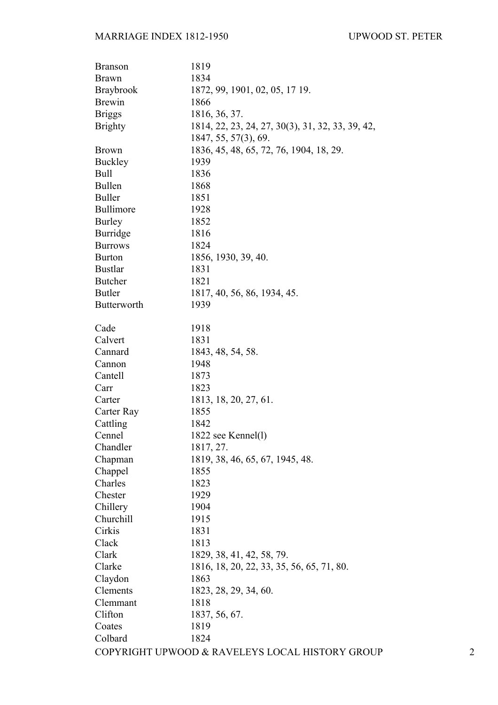| <b>Branson</b>   | 1819                                             |   |
|------------------|--------------------------------------------------|---|
| <b>Brawn</b>     | 1834                                             |   |
| <b>Braybrook</b> | 1872, 99, 1901, 02, 05, 17 19.                   |   |
| <b>Brewin</b>    | 1866                                             |   |
| <b>Briggs</b>    | 1816, 36, 37.                                    |   |
| <b>Brighty</b>   | 1814, 22, 23, 24, 27, 30(3), 31, 32, 33, 39, 42, |   |
|                  | 1847, 55, 57(3), 69.                             |   |
| <b>Brown</b>     | 1836, 45, 48, 65, 72, 76, 1904, 18, 29.          |   |
| <b>Buckley</b>   | 1939                                             |   |
| <b>Bull</b>      | 1836                                             |   |
| <b>Bullen</b>    | 1868                                             |   |
| <b>Buller</b>    | 1851                                             |   |
| Bullimore        | 1928                                             |   |
| <b>Burley</b>    | 1852                                             |   |
| <b>Burridge</b>  | 1816                                             |   |
| <b>Burrows</b>   | 1824                                             |   |
| <b>Burton</b>    | 1856, 1930, 39, 40.                              |   |
| <b>Bustlar</b>   | 1831                                             |   |
| <b>Butcher</b>   | 1821                                             |   |
| <b>Butler</b>    | 1817, 40, 56, 86, 1934, 45.                      |   |
| Butterworth      | 1939                                             |   |
|                  |                                                  |   |
| Cade             | 1918                                             |   |
| Calvert          | 1831                                             |   |
| Cannard          | 1843, 48, 54, 58.                                |   |
| Cannon           | 1948                                             |   |
| Cantell          | 1873                                             |   |
| Carr             | 1823                                             |   |
| Carter           | 1813, 18, 20, 27, 61.                            |   |
| Carter Ray       | 1855                                             |   |
| Cattling         | 1842                                             |   |
| Cennel           | 1822 see Kennel(1)                               |   |
| Chandler         | 1817, 27.                                        |   |
| Chapman          | 1819, 38, 46, 65, 67, 1945, 48.                  |   |
| Chappel          | 1855                                             |   |
| Charles          | 1823                                             |   |
| Chester          | 1929                                             |   |
| Chillery         | 1904                                             |   |
| Churchill        | 1915                                             |   |
| Cirkis           | 1831                                             |   |
| Clack            | 1813                                             |   |
| Clark            | 1829, 38, 41, 42, 58, 79.                        |   |
| Clarke           | 1816, 18, 20, 22, 33, 35, 56, 65, 71, 80.        |   |
| Claydon          | 1863                                             |   |
| Clements         | 1823, 28, 29, 34, 60.                            |   |
| Clemmant         | 1818                                             |   |
| Clifton          |                                                  |   |
|                  | 1837, 56, 67.                                    |   |
| Coates           | 1819                                             |   |
| Colbard          | 1824                                             |   |
|                  | COPYRIGHT UPWOOD & RAVELEYS LOCAL HISTORY GROUP  | 2 |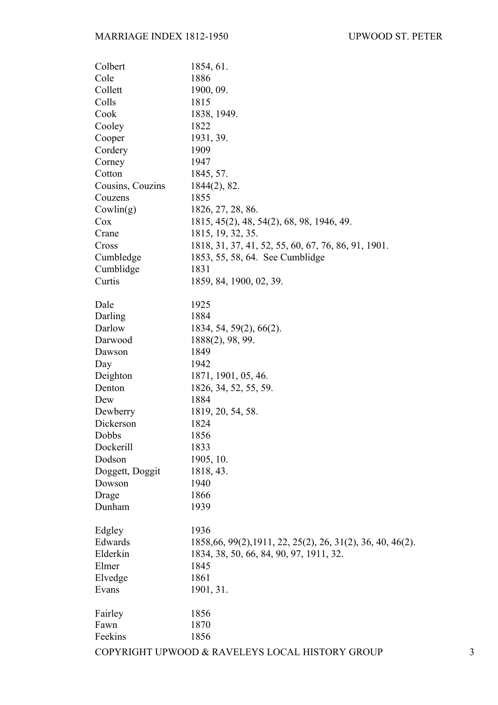| Colbert          | 1854, 61.                                                   |   |
|------------------|-------------------------------------------------------------|---|
| Cole             | 1886                                                        |   |
| Collett          | 1900, 09.                                                   |   |
| Colls            | 1815                                                        |   |
| Cook             | 1838, 1949.                                                 |   |
| Cooley           | 1822                                                        |   |
| Cooper           | 1931, 39.                                                   |   |
| Cordery          | 1909                                                        |   |
| Corney           | 1947                                                        |   |
| Cotton           | 1845, 57.                                                   |   |
| Cousins, Couzins | $1844(2)$ , 82.                                             |   |
| Couzens          | 1855                                                        |   |
| Covlin(g)        | 1826, 27, 28, 86.                                           |   |
| Cox              | 1815, 45(2), 48, 54(2), 68, 98, 1946, 49.                   |   |
| Crane            | 1815, 19, 32, 35.                                           |   |
| Cross            | 1818, 31, 37, 41, 52, 55, 60, 67, 76, 86, 91, 1901.         |   |
| Cumbledge        | 1853, 55, 58, 64. See Cumblidge                             |   |
| Cumblidge        | 1831                                                        |   |
| Curtis           | 1859, 84, 1900, 02, 39.                                     |   |
| Dale             | 1925                                                        |   |
| Darling          | 1884                                                        |   |
| Darlow           | $1834, 54, 59(2), 66(2)$ .                                  |   |
| Darwood          | 1888(2), 98, 99.                                            |   |
| Dawson           | 1849                                                        |   |
| Day              | 1942                                                        |   |
| Deighton         | 1871, 1901, 05, 46.                                         |   |
| Denton           | 1826, 34, 52, 55, 59.                                       |   |
| Dew              | 1884                                                        |   |
| Dewberry         | 1819, 20, 54, 58.                                           |   |
| Dickerson        | 1824                                                        |   |
| Dobbs            | 1856                                                        |   |
| Dockerill        | 1833                                                        |   |
| Dodson           | 1905, 10.                                                   |   |
| Doggett, Doggit  | 1818, 43.                                                   |   |
| Dowson           | 1940                                                        |   |
| Drage            | 1866                                                        |   |
| Dunham           | 1939                                                        |   |
| Edgley           | 1936                                                        |   |
| Edwards          | 1858, 66, 99(2), 1911, 22, 25(2), 26, 31(2), 36, 40, 46(2). |   |
| Elderkin         | 1834, 38, 50, 66, 84, 90, 97, 1911, 32.                     |   |
| Elmer            | 1845                                                        |   |
| Elvedge          | 1861                                                        |   |
| Evans            | 1901, 31.                                                   |   |
| Fairley          | 1856                                                        |   |
| Fawn             | 1870                                                        |   |
| Feekins          | 1856                                                        |   |
|                  | COPYRIGHT UPWOOD & RAVELEYS LOCAL HISTORY GROUP             | 3 |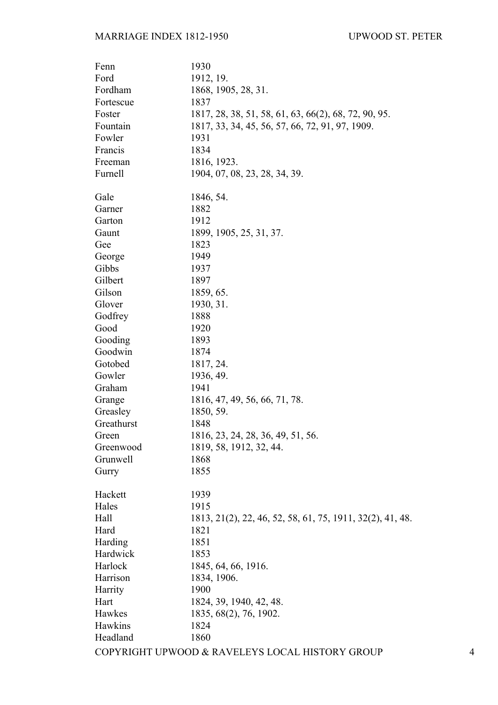| Fenn       | 1930                                                      |   |
|------------|-----------------------------------------------------------|---|
| Ford       | 1912, 19.                                                 |   |
| Fordham    | 1868, 1905, 28, 31.                                       |   |
| Fortescue  | 1837                                                      |   |
| Foster     | 1817, 28, 38, 51, 58, 61, 63, 66(2), 68, 72, 90, 95.      |   |
| Fountain   | 1817, 33, 34, 45, 56, 57, 66, 72, 91, 97, 1909.           |   |
| Fowler     | 1931                                                      |   |
| Francis    | 1834                                                      |   |
| Freeman    | 1816, 1923.                                               |   |
| Furnell    | 1904, 07, 08, 23, 28, 34, 39.                             |   |
| Gale       | 1846, 54.                                                 |   |
| Garner     | 1882                                                      |   |
| Garton     | 1912                                                      |   |
| Gaunt      | 1899, 1905, 25, 31, 37.                                   |   |
| Gee        | 1823                                                      |   |
| George     | 1949                                                      |   |
| Gibbs      | 1937                                                      |   |
| Gilbert    | 1897                                                      |   |
| Gilson     | 1859, 65.                                                 |   |
| Glover     | 1930, 31.                                                 |   |
| Godfrey    | 1888                                                      |   |
| Good       | 1920                                                      |   |
| Gooding    | 1893                                                      |   |
| Goodwin    | 1874                                                      |   |
| Gotobed    | 1817, 24.                                                 |   |
| Gowler     | 1936, 49.                                                 |   |
| Graham     | 1941                                                      |   |
| Grange     | 1816, 47, 49, 56, 66, 71, 78.                             |   |
| Greasley   | 1850, 59.                                                 |   |
| Greathurst | 1848                                                      |   |
| Green      | 1816, 23, 24, 28, 36, 49, 51, 56.                         |   |
| Greenwood  | 1819, 58, 1912, 32, 44.                                   |   |
| Grunwell   | 1868                                                      |   |
| Gurry      | 1855                                                      |   |
| Hackett    | 1939                                                      |   |
| Hales      | 1915                                                      |   |
| Hall       | 1813, 21(2), 22, 46, 52, 58, 61, 75, 1911, 32(2), 41, 48. |   |
| Hard       | 1821                                                      |   |
| Harding    | 1851                                                      |   |
| Hardwick   | 1853                                                      |   |
| Harlock    | 1845, 64, 66, 1916.                                       |   |
| Harrison   | 1834, 1906.                                               |   |
| Harrity    | 1900                                                      |   |
| Hart       | 1824, 39, 1940, 42, 48.                                   |   |
| Hawkes     | 1835, 68(2), 76, 1902.                                    |   |
| Hawkins    | 1824                                                      |   |
| Headland   | 1860                                                      |   |
|            | COPYRIGHT UPWOOD & RAVELEYS LOCAL HISTORY GROUP           | 4 |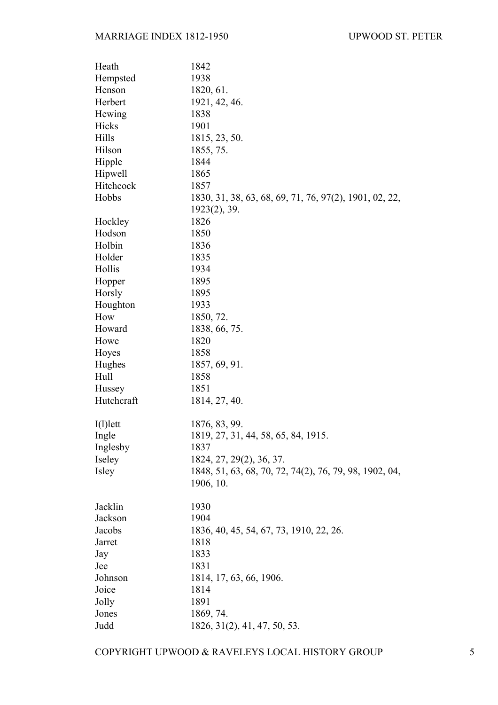| Heath       | 1842                                                   |
|-------------|--------------------------------------------------------|
| Hempsted    | 1938                                                   |
| Henson      | 1820, 61.                                              |
| Herbert     | 1921, 42, 46.                                          |
| Hewing      | 1838                                                   |
| Hicks       | 1901                                                   |
| Hills       | 1815, 23, 50.                                          |
| Hilson      | 1855, 75.                                              |
| Hipple      | 1844                                                   |
| Hipwell     | 1865                                                   |
| Hitchcock   | 1857                                                   |
| Hobbs       | 1830, 31, 38, 63, 68, 69, 71, 76, 97(2), 1901, 02, 22, |
|             | $1923(2)$ , 39.                                        |
| Hockley     | 1826                                                   |
| Hodson      | 1850                                                   |
| Holbin      | 1836                                                   |
| Holder      | 1835                                                   |
| Hollis      | 1934                                                   |
| Hopper      | 1895                                                   |
| Horsly      | 1895                                                   |
| Houghton    | 1933                                                   |
| How         | 1850, 72.                                              |
| Howard      | 1838, 66, 75.                                          |
| Howe        | 1820                                                   |
| Hoyes       | 1858                                                   |
| Hughes      | 1857, 69, 91.                                          |
| Hull        | 1858                                                   |
| Hussey      | 1851                                                   |
| Hutchcraft  | 1814, 27, 40.                                          |
|             |                                                        |
| $I(1)$ lett | 1876, 83, 99.                                          |
| Ingle       | 1819, 27, 31, 44, 58, 65, 84, 1915.                    |
| Inglesby    | 1837                                                   |
| Iseley      | 1824, 27, 29(2), 36, 37.                               |
| Isley       | 1848, 51, 63, 68, 70, 72, 74(2), 76, 79, 98, 1902, 04, |
|             | 1906, 10.                                              |
|             |                                                        |
| Jacklin     | 1930                                                   |
| Jackson     | 1904                                                   |
| Jacobs      | 1836, 40, 45, 54, 67, 73, 1910, 22, 26.                |
| Jarret      | 1818                                                   |
| Jay         | 1833                                                   |
| Jee         | 1831                                                   |
| Johnson     | 1814, 17, 63, 66, 1906.                                |
| Joice       | 1814                                                   |
| Jolly       | 1891                                                   |
| Jones       | 1869, 74.                                              |
| Judd        | 1826, 31(2), 41, 47, 50, 53.                           |

COPYRIGHT UPWOOD & RAVELEYS LOCAL HISTORY GROUP 5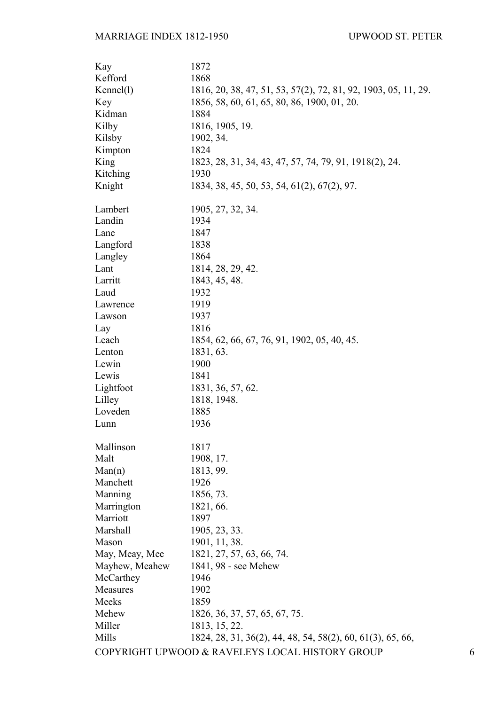| Kay            | 1872                                                           |   |
|----------------|----------------------------------------------------------------|---|
| Kefford        | 1868                                                           |   |
| Kennel(1)      | 1816, 20, 38, 47, 51, 53, 57(2), 72, 81, 92, 1903, 05, 11, 29. |   |
| Key            | 1856, 58, 60, 61, 65, 80, 86, 1900, 01, 20.                    |   |
| Kidman         | 1884                                                           |   |
| Kilby          | 1816, 1905, 19.                                                |   |
| Kilsby         | 1902, 34.                                                      |   |
| Kimpton        | 1824                                                           |   |
| King           | 1823, 28, 31, 34, 43, 47, 57, 74, 79, 91, 1918(2), 24.         |   |
| Kitching       | 1930                                                           |   |
| Knight         | 1834, 38, 45, 50, 53, 54, 61(2), 67(2), 97.                    |   |
|                |                                                                |   |
| Lambert        | 1905, 27, 32, 34.                                              |   |
| Landin         | 1934                                                           |   |
| Lane           | 1847                                                           |   |
| Langford       | 1838                                                           |   |
| Langley        | 1864                                                           |   |
| Lant           | 1814, 28, 29, 42.                                              |   |
| Larritt        | 1843, 45, 48.                                                  |   |
| Laud           | 1932                                                           |   |
| Lawrence       | 1919                                                           |   |
| Lawson         | 1937                                                           |   |
| Lay            | 1816                                                           |   |
| Leach          | 1854, 62, 66, 67, 76, 91, 1902, 05, 40, 45.                    |   |
| Lenton         | 1831, 63.                                                      |   |
| Lewin          | 1900                                                           |   |
| Lewis          | 1841                                                           |   |
| Lightfoot      | 1831, 36, 57, 62.                                              |   |
| Lilley         | 1818, 1948.                                                    |   |
| Loveden        | 1885                                                           |   |
| Lunn           | 1936                                                           |   |
|                |                                                                |   |
| Mallinson      | 1817                                                           |   |
| Malt           | 1908, 17.                                                      |   |
| Man(n)         | 1813, 99.                                                      |   |
| Manchett       | 1926                                                           |   |
| Manning        | 1856, 73.                                                      |   |
| Marrington     | 1821, 66.                                                      |   |
| Marriott       | 1897                                                           |   |
| Marshall       | 1905, 23, 33.                                                  |   |
| Mason          | 1901, 11, 38.                                                  |   |
| May, Meay, Mee | 1821, 27, 57, 63, 66, 74.                                      |   |
| Mayhew, Meahew | 1841, 98 - see Mehew                                           |   |
| McCarthey      | 1946                                                           |   |
| Measures       | 1902                                                           |   |
| Meeks          | 1859                                                           |   |
| Mehew          | 1826, 36, 37, 57, 65, 67, 75.                                  |   |
| Miller         | 1813, 15, 22.                                                  |   |
| Mills          | 1824, 28, 31, 36(2), 44, 48, 54, 58(2), 60, 61(3), 65, 66,     |   |
|                | COPYRIGHT UPWOOD & RAVELEYS LOCAL HISTORY GROUP                | 6 |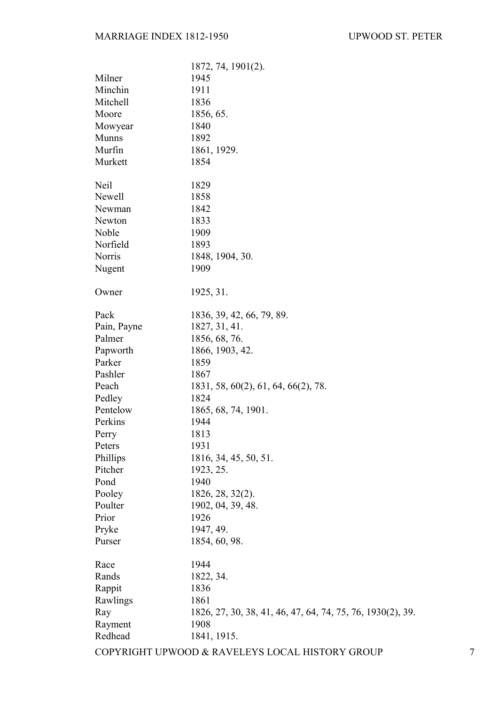|              | 1872, 74, 1901(2).                                         |
|--------------|------------------------------------------------------------|
| Milner       | 1945                                                       |
| Minchin      | 1911                                                       |
| Mitchell     | 1836                                                       |
| Moore        | 1856, 65.                                                  |
| Mowyear      | 1840                                                       |
| <b>Munns</b> | 1892                                                       |
| Murfin       | 1861, 1929.                                                |
| Murkett      | 1854                                                       |
|              |                                                            |
| Neil         | 1829                                                       |
| Newell       | 1858                                                       |
| Newman       | 1842                                                       |
| Newton       | 1833                                                       |
| Noble        | 1909                                                       |
| Norfield     | 1893                                                       |
| Norris       | 1848, 1904, 30.                                            |
| Nugent       | 1909                                                       |
|              |                                                            |
| Owner        | 1925, 31.                                                  |
|              |                                                            |
| Pack         | 1836, 39, 42, 66, 79, 89.                                  |
| Pain, Payne  | 1827, 31, 41.                                              |
| Palmer       | 1856, 68, 76.                                              |
| Papworth     | 1866, 1903, 42.                                            |
| Parker       | 1859                                                       |
| Pashler      | 1867                                                       |
| Peach        | 1831, 58, 60(2), 61, 64, 66(2), 78.                        |
| Pedley       | 1824                                                       |
| Pentelow     | 1865, 68, 74, 1901.                                        |
| Perkins      | 1944                                                       |
| Perry        | 1813                                                       |
| Peters       | 1931                                                       |
| Phillips     | 1816, 34, 45, 50, 51.                                      |
| Pitcher      | 1923, 25.                                                  |
| Pond         | 1940                                                       |
| Pooley       | 1826, 28, 32(2).                                           |
| Poulter      | 1902, 04, 39, 48.                                          |
| Prior        | 1926                                                       |
| Pryke        | 1947, 49.                                                  |
| Purser       | 1854, 60, 98.                                              |
|              |                                                            |
| Race         | 1944                                                       |
| Rands        | 1822, 34.                                                  |
| Rappit       | 1836                                                       |
| Rawlings     | 1861                                                       |
| Ray          | 1826, 27, 30, 38, 41, 46, 47, 64, 74, 75, 76, 1930(2), 39. |
| Rayment      | 1908                                                       |
| Redhead      | 1841, 1915.                                                |
|              |                                                            |

COPYRIGHT UPWOOD & RAVELEYS LOCAL HISTORY GROUP 7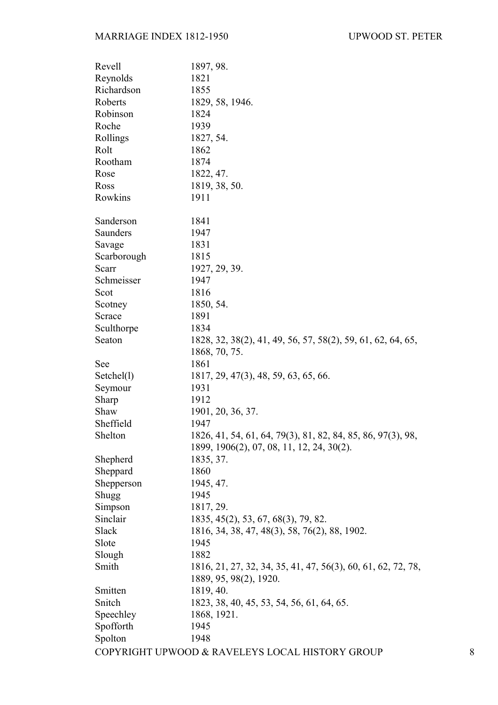| Revell      | 1897, 98.                                                                    |   |
|-------------|------------------------------------------------------------------------------|---|
| Reynolds    | 1821                                                                         |   |
| Richardson  | 1855                                                                         |   |
| Roberts     | 1829, 58, 1946.                                                              |   |
| Robinson    | 1824                                                                         |   |
| Roche       | 1939                                                                         |   |
| Rollings    | 1827, 54.                                                                    |   |
| Rolt        | 1862                                                                         |   |
| Rootham     | 1874                                                                         |   |
| Rose        | 1822, 47.                                                                    |   |
| Ross        | 1819, 38, 50.                                                                |   |
| Rowkins     | 1911                                                                         |   |
| Sanderson   | 1841                                                                         |   |
| Saunders    | 1947                                                                         |   |
| Savage      | 1831                                                                         |   |
| Scarborough | 1815                                                                         |   |
| Scarr       | 1927, 29, 39.                                                                |   |
| Schmeisser  | 1947                                                                         |   |
| Scot        | 1816                                                                         |   |
| Scotney     | 1850, 54.                                                                    |   |
| Scrace      | 1891                                                                         |   |
| Sculthorpe  | 1834                                                                         |   |
| Seaton      | 1828, 32, 38(2), 41, 49, 56, 57, 58(2), 59, 61, 62, 64, 65,<br>1868, 70, 75. |   |
| See         | 1861                                                                         |   |
| Setchel(1)  | 1817, 29, 47(3), 48, 59, 63, 65, 66.                                         |   |
| Seymour     | 1931                                                                         |   |
| Sharp       | 1912                                                                         |   |
| Shaw        | 1901, 20, 36, 37.                                                            |   |
| Sheffield   | 1947                                                                         |   |
| Shelton     | 1826, 41, 54, 61, 64, 79(3), 81, 82, 84, 85, 86, 97(3), 98,                  |   |
|             | 1899, 1906(2), 07, 08, 11, 12, 24, 30(2).                                    |   |
| Shepherd    | 1835, 37.                                                                    |   |
| Sheppard    | 1860                                                                         |   |
| Shepperson  | 1945, 47.                                                                    |   |
| Shugg       | 1945                                                                         |   |
| Simpson     | 1817, 29.                                                                    |   |
| Sinclair    | 1835, 45(2), 53, 67, 68(3), 79, 82.                                          |   |
| Slack       | 1816, 34, 38, 47, 48(3), 58, 76(2), 88, 1902.                                |   |
| Slote       | 1945                                                                         |   |
| Slough      | 1882                                                                         |   |
| Smith       | 1816, 21, 27, 32, 34, 35, 41, 47, 56(3), 60, 61, 62, 72, 78,                 |   |
|             | 1889, 95, 98(2), 1920.                                                       |   |
| Smitten     | 1819, 40.                                                                    |   |
| Snitch      | 1823, 38, 40, 45, 53, 54, 56, 61, 64, 65.                                    |   |
| Speechley   | 1868, 1921.                                                                  |   |
| Spofforth   | 1945                                                                         |   |
| Spolton     | 1948                                                                         |   |
|             | COPYRIGHT UPWOOD & RAVELEYS LOCAL HISTORY GROUP                              | 8 |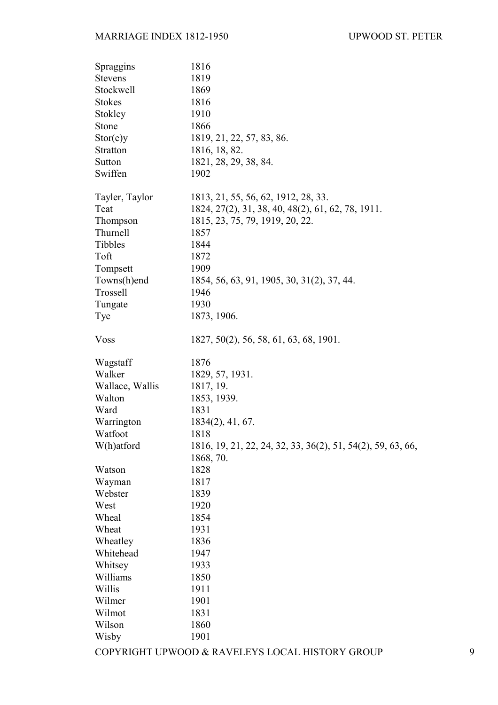| Spraggins       | 1816                                                        |   |
|-----------------|-------------------------------------------------------------|---|
| <b>Stevens</b>  | 1819                                                        |   |
| Stockwell       | 1869                                                        |   |
| <b>Stokes</b>   | 1816                                                        |   |
| Stokley         | 1910                                                        |   |
| Stone           | 1866                                                        |   |
| Stor(e)y        | 1819, 21, 22, 57, 83, 86.                                   |   |
| <b>Stratton</b> | 1816, 18, 82.                                               |   |
| Sutton          | 1821, 28, 29, 38, 84.                                       |   |
| Swiffen         | 1902                                                        |   |
| Tayler, Taylor  | 1813, 21, 55, 56, 62, 1912, 28, 33.                         |   |
| Teat            | 1824, 27(2), 31, 38, 40, 48(2), 61, 62, 78, 1911.           |   |
| Thompson        | 1815, 23, 75, 79, 1919, 20, 22.                             |   |
| Thurnell        | 1857                                                        |   |
| Tibbles         | 1844                                                        |   |
| Toft            | 1872                                                        |   |
| Tompsett        | 1909                                                        |   |
| Towns(h)end     | 1854, 56, 63, 91, 1905, 30, 31(2), 37, 44.                  |   |
| Trossell        | 1946                                                        |   |
| Tungate         | 1930                                                        |   |
| Tye             | 1873, 1906.                                                 |   |
| <b>Voss</b>     | 1827, 50(2), 56, 58, 61, 63, 68, 1901.                      |   |
| Wagstaff        | 1876                                                        |   |
| Walker          | 1829, 57, 1931.                                             |   |
| Wallace, Wallis | 1817, 19.                                                   |   |
| Walton          | 1853, 1939.                                                 |   |
| Ward            | 1831                                                        |   |
| Warrington      | $1834(2)$ , 41, 67.                                         |   |
| Watfoot         | 1818                                                        |   |
| W(h)atford      | 1816, 19, 21, 22, 24, 32, 33, 36(2), 51, 54(2), 59, 63, 66, |   |
|                 | 1868, 70.                                                   |   |
| Watson          | 1828                                                        |   |
| Wayman          | 1817                                                        |   |
| Webster         | 1839                                                        |   |
| West            | 1920                                                        |   |
| Wheal           | 1854                                                        |   |
| Wheat           | 1931                                                        |   |
| Wheatley        | 1836                                                        |   |
| Whitehead       | 1947                                                        |   |
| Whitsey         | 1933                                                        |   |
| Williams        | 1850                                                        |   |
| Willis          | 1911                                                        |   |
| Wilmer          | 1901                                                        |   |
| Wilmot          | 1831                                                        |   |
| Wilson          | 1860                                                        |   |
| Wisby           | 1901                                                        |   |
|                 | COPYRIGHT UPWOOD & RAVELEYS LOCAL HISTORY GROUP             | 9 |